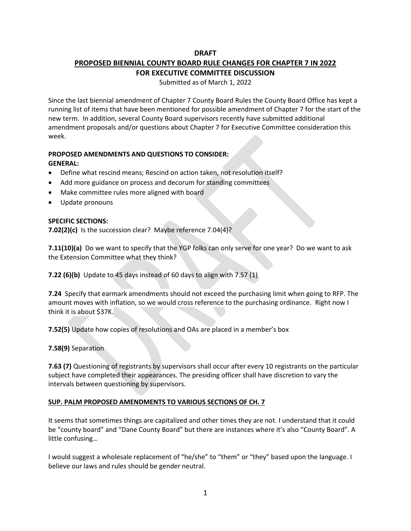# **DRAFT**

# **PROPOSED BIENNIAL COUNTY BOARD RULE CHANGES FOR CHAPTER 7 IN 2022**

## **FOR EXECUTIVE COMMITTEE DISCUSSION**

Submitted as of March 1, 2022

Since the last biennial amendment of Chapter 7 County Board Rules the County Board Office has kept a running list of items that have been mentioned for possible amendment of Chapter 7 for the start of the new term. In addition, several County Board supervisors recently have submitted additional amendment proposals and/or questions about Chapter 7 for Executive Committee consideration this week.

#### **PROPOSED AMENDMENTS AND QUESTIONS TO CONSIDER: GENERAL:**

- Define what rescind means; Rescind on action taken, not resolution itself?
- Add more guidance on process and decorum for standing committees
- Make committee rules more aligned with board
- Update pronouns

# **SPECIFIC SECTIONS:**

**7.02(2)(c)** Is the succession clear? Maybe reference 7.04(4)?

**7.11(10)(a)** Do we want to specify that the YGP folks can only serve for one year? Do we want to ask the Extension Committee what they think?

**7.22 (6)(b)** Update to 45 days instead of 60 days to align with 7.57 (1)

**7.24** Specify that earmark amendments should not exceed the purchasing limit when going to RFP. The amount moves with inflation, so we would cross reference to the purchasing ordinance. Right now I think it is about \$37K.

**7.52(5)** Update how copies of resolutions and OAs are placed in a member's box

**7.58(9)** Separation

**7.63 (7)** Questioning of registrants by supervisors shall occur after every 10 registrants on the particular subject have completed their appearances. The presiding officer shall have discretion to vary the intervals between questioning by supervisors.

#### **SUP. PALM PROPOSED AMENDMENTS TO VARIOUS SECTIONS OF CH. 7**

It seems that sometimes things are capitalized and other times they are not. I understand that it could be "county board" and "Dane County Board" but there are instances where it's also "County Board". A little confusing…

I would suggest a wholesale replacement of "he/she" to "them" or "they" based upon the language. I believe our laws and rules should be gender neutral.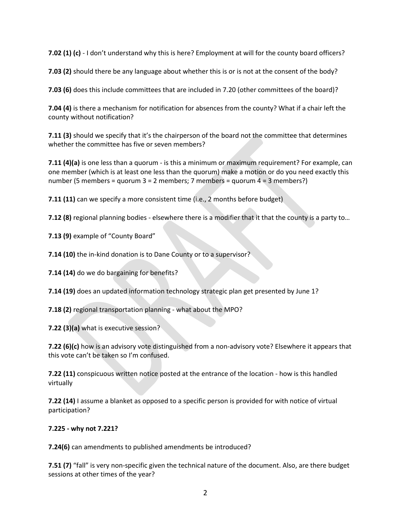**7.02 (1) (c)** - I don't understand why this is here? Employment at will for the county board officers?

**7.03 (2)** should there be any language about whether this is or is not at the consent of the body?

**7.03 (6)** does this include committees that are included in 7.20 (other committees of the board)?

**7.04 (4)** is there a mechanism for notification for absences from the county? What if a chair left the county without notification?

**7.11 (3)** should we specify that it's the chairperson of the board not the committee that determines whether the committee has five or seven members?

**7.11 (4)(a)** is one less than a quorum - is this a minimum or maximum requirement? For example, can one member (which is at least one less than the quorum) make a motion or do you need exactly this number (5 members = quorum  $3 = 2$  members; 7 members = quorum  $4 = 3$  members?)

**7.11 (11)** can we specify a more consistent time (i.e., 2 months before budget)

**7.12 (8)** regional planning bodies - elsewhere there is a modifier that it that the county is a party to...

**7.13 (9)** example of "County Board"

**7.14 (10)** the in-kind donation is to Dane County or to a supervisor?

**7.14 (14)** do we do bargaining for benefits?

**7.14 (19)** does an updated information technology strategic plan get presented by June 1?

**7.18 (2)** regional transportation planning - what about the MPO?

**7.22 (3)(a)** what is executive session?

**7.22 (6)(c)** how is an advisory vote distinguished from a non-advisory vote? Elsewhere it appears that this vote can't be taken so I'm confused.

**7.22 (11)** conspicuous written notice posted at the entrance of the location - how is this handled virtually

**7.22 (14)** I assume a blanket as opposed to a specific person is provided for with notice of virtual participation?

#### **7.225 - why not 7.221?**

**7.24(6)** can amendments to published amendments be introduced?

**7.51 (7)** "fall" is very non-specific given the technical nature of the document. Also, are there budget sessions at other times of the year?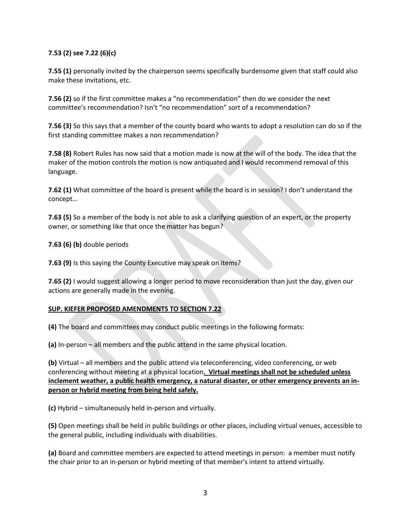# **7.53 (2) see 7.22 (6)(c)**

**7.55 (1)** personally invited by the chairperson seems specifically burdensome given that staff could also make these invitations, etc.

**7.56 (2)** so if the first committee makes a "no recommendation" then do we consider the next committee's recommendation? Isn't "no recommendation" sort of a recommendation?

**7.56 (3)** So this says that a member of the county board who wants to adopt a resolution can do so if the first standing committee makes a non recommendation?

**7.58 (8)** Robert Rules has now said that a motion made is now at the will of the body. The idea that the maker of the motion controls the motion is now antiquated and I would recommend removal of this language.

**7.62 (1)** What committee of the board is present while the board is in session? I don't understand the concept…

**7.63 (5)** So a member of the body is not able to ask a clarifying question of an expert, or the property owner, or something like that once the matter has begun?

**7.63 (6) (b)** double periods

**7.63 (9)** Is this saying the County Executive may speak on items?

**7.65 (2)** I would suggest allowing a longer period to move reconsideration than just the day, given our actions are generally made in the evening.

#### **SUP. KIEFER PROPOSED AMENDMENTS TO SECTION 7.22**

**(4)** The board and committees may conduct public meetings in the following formats:

**(a)** In-person – all members and the public attend in the same physical location.

**(b)** Virtual – all members and the public attend via teleconferencing, video conferencing, or web conferencing without meeting at a physical location. **Virtual meetings shall not be scheduled unless inclement weather, a public health emergency, a natural disaster, or other emergency prevents an inperson or hybrid meeting from being held safely.** 

**(c)** Hybrid – simultaneously held in-person and virtually.

**(5)** Open meetings shall be held in public buildings or other places, including virtual venues, accessible to the general public, including individuals with disabilities.

**(a)** Board and committee members are expected to attend meetings in person: a member must notify the chair prior to an in-person or hybrid meeting of that member's intent to attend virtually.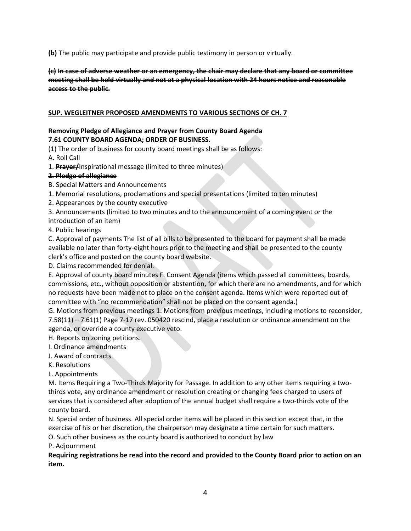**(b)** The public may participate and provide public testimony in person or virtually.

**(c) In case of adverse weather or an emergency, the chair may declare that any board or committee meeting shall be held virtually and not at a physical location with 24 hours notice and reasonable access to the public.** 

## **SUP. WEGLEITNER PROPOSED AMENDMENTS TO VARIOUS SECTIONS OF CH. 7**

# **Removing Pledge of Allegiance and Prayer from County Board Agenda 7.61 COUNTY BOARD AGENDA; ORDER OF BUSINESS.**

(1) The order of business for county board meetings shall be as follows:

A. Roll Call

1. **Prayer/**Inspirational message (limited to three minutes)

# **2. Pledge of allegiance**

- B. Special Matters and Announcements
- 1. Memorial resolutions, proclamations and special presentations (limited to ten minutes)
- 2. Appearances by the county executive
- 3. Announcements (limited to two minutes and to the announcement of a coming event or the
- introduction of an item)

4. Public hearings

C. Approval of payments The list of all bills to be presented to the board for payment shall be made available no later than forty-eight hours prior to the meeting and shall be presented to the county clerk's office and posted on the county board website.

D. Claims recommended for denial.

E. Approval of county board minutes F. Consent Agenda (items which passed all committees, boards, commissions, etc., without opposition or abstention, for which there are no amendments, and for which no requests have been made not to place on the consent agenda. Items which were reported out of committee with "no recommendation" shall not be placed on the consent agenda.)

G. Motions from previous meetings 1. Motions from previous meetings, including motions to reconsider, 7.58(11) – 7.61(1) Page 7-17 rev. 050420 rescind, place a resolution or ordinance amendment on the agenda, or override a county executive veto.

H. Reports on zoning petitions.

- I. Ordinance amendments
- J. Award of contracts
- K. Resolutions
- L. Appointments

M. Items Requiring a Two-Thirds Majority for Passage. In addition to any other items requiring a twothirds vote, any ordinance amendment or resolution creating or changing fees charged to users of services that is considered after adoption of the annual budget shall require a two-thirds vote of the county board.

N. Special order of business. All special order items will be placed in this section except that, in the exercise of his or her discretion, the chairperson may designate a time certain for such matters.

O. Such other business as the county board is authorized to conduct by law

P. Adjournment

**Requiring registrations be read into the record and provided to the County Board prior to action on an item.**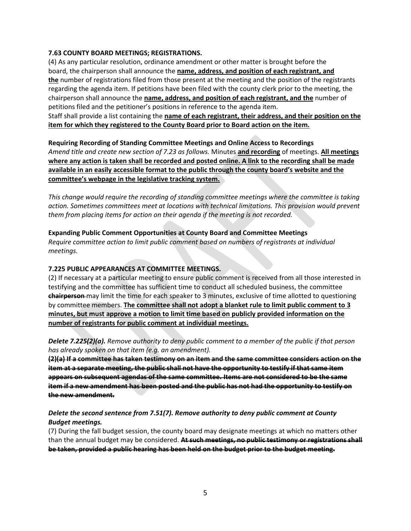#### **7.63 COUNTY BOARD MEETINGS; REGISTRATIONS.**

(4) As any particular resolution, ordinance amendment or other matter is brought before the board, the chairperson shall announce the **name, address, and position of each registrant, and the** number of registrations filed from those present at the meeting and the position of the registrants regarding the agenda item. If petitions have been filed with the county clerk prior to the meeting, the chairperson shall announce the **name, address, and position of each registrant, and the** number of petitions filed and the petitioner's positions in reference to the agenda item.

Staff shall provide a list containing the **name of each registrant, their address, and their position on the item for which they registered to the County Board prior to Board action on the item.**

**Requiring Recording of Standing Committee Meetings and Online Access to Recordings** *Amend title and create new section of 7.23 as follows.* Minutes **and recording** of meetings. **All meetings where any action is taken shall be recorded and posted online. A link to the recording shall be made available in an easily accessible format to the public through the county board's website and the committee's webpage in the legislative tracking system.**

*This change would require the recording of standing committee meetings where the committee is taking action. Sometimes committees meet at locations with technical limitations. This provision would prevent them from placing items for action on their agenda if the meeting is not recorded.*

**Expanding Public Comment Opportunities at County Board and Committee Meetings** *Require committee action to limit public comment based on numbers of registrants at individual meetings.*

#### **7.225 PUBLIC APPEARANCES AT COMMITTEE MEETINGS.**

(2) If necessary at a particular meeting to ensure public comment is received from all those interested in testifying and the committee has sufficient time to conduct all scheduled business, the committee **chairperson** may limit the time for each speaker to 3 minutes, exclusive of time allotted to questioning by committee members. **The committee shall not adopt a blanket rule to limit public comment to 3 minutes, but must approve a motion to limit time based on publicly provided information on the number of registrants for public comment at individual meetings.**

*Delete 7.225(2)(a). Remove authority to deny public comment to a member of the public if that person has already spoken on that item (e.g. an amendment).*

**(2)(a) If a committee has taken testimony on an item and the same committee considers action on the item at a separate meeting, the public shall not have the opportunity to testify if that same item appears on subsequent agendas of the same committee. Items are not considered to be the same item if a new amendment has been posted and the public has not had the opportunity to testify on the new amendment.**

# *Delete the second sentence from 7.51(7). Remove authority to deny public comment at County Budget meetings.*

(7) During the fall budget session, the county board may designate meetings at which no matters other than the annual budget may be considered. **At such meetings, no public testimony or registrations shall be taken, provided a public hearing has been held on the budget prior to the budget meeting.**